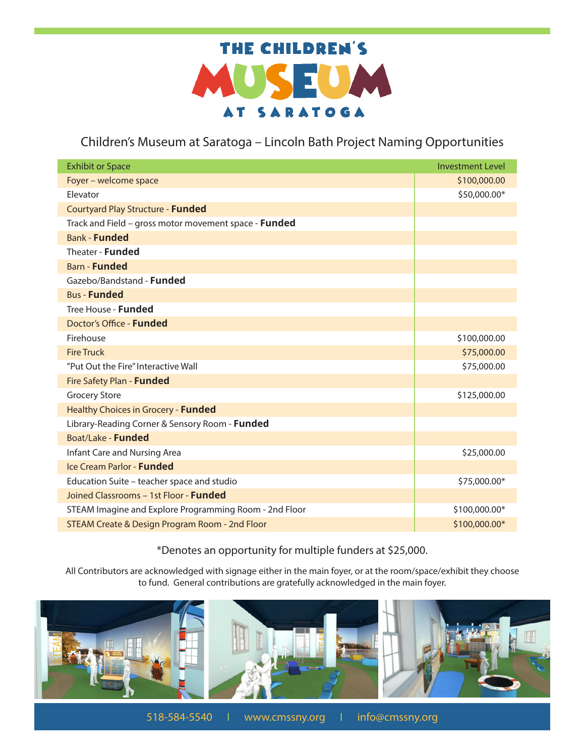

## Children's Museum at Saratoga – Lincoln Bath Project Naming Opportunities

| <b>Exhibit or Space</b>                                | <b>Investment Level</b> |
|--------------------------------------------------------|-------------------------|
| Foyer - welcome space                                  | \$100,000.00            |
| Elevator                                               | \$50,000.00*            |
| Courtyard Play Structure - Funded                      |                         |
| Track and Field - gross motor movement space - Funded  |                         |
| <b>Bank - Funded</b>                                   |                         |
| Theater - Funded                                       |                         |
| <b>Barn - Funded</b>                                   |                         |
| Gazebo/Bandstand - Funded                              |                         |
| <b>Bus - Funded</b>                                    |                         |
| Tree House - Funded                                    |                         |
| Doctor's Office - <b>Funded</b>                        |                         |
| Firehouse                                              | \$100,000.00            |
| <b>Fire Truck</b>                                      | \$75,000.00             |
| "Put Out the Fire" Interactive Wall                    | \$75,000.00             |
| Fire Safety Plan - Funded                              |                         |
| <b>Grocery Store</b>                                   | \$125,000.00            |
| Healthy Choices in Grocery - Funded                    |                         |
| Library-Reading Corner & Sensory Room - Funded         |                         |
| Boat/Lake - Funded                                     |                         |
| Infant Care and Nursing Area                           | \$25,000.00             |
| Ice Cream Parlor - <b>Funded</b>                       |                         |
| Education Suite - teacher space and studio             | \$75,000.00*            |
| Joined Classrooms - 1st Floor - <b>Funded</b>          |                         |
| STEAM Imagine and Explore Programming Room - 2nd Floor | \$100,000.00*           |
| STEAM Create & Design Program Room - 2nd Floor         | \$100,000.00*           |

## \*Denotes an opportunity for multiple funders at \$25,000.

All Contributors are acknowledged with signage either in the main foyer, or at the room/space/exhibit they choose to fund. General contributions are gratefully acknowledged in the main foyer.



518-584-5540 I www.cmssny.org I info@cmssny.org